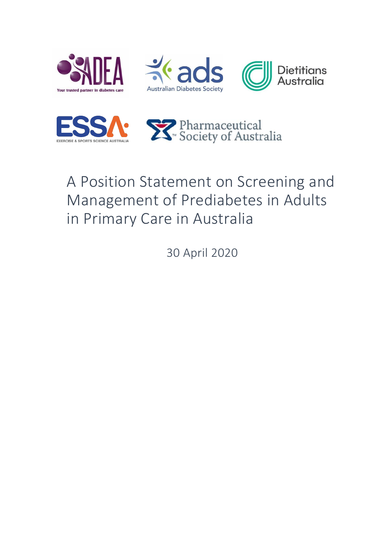







# A Position Statement on Screening and Management of Prediabetes in Adults in Primary Care in Australia

30 April 2020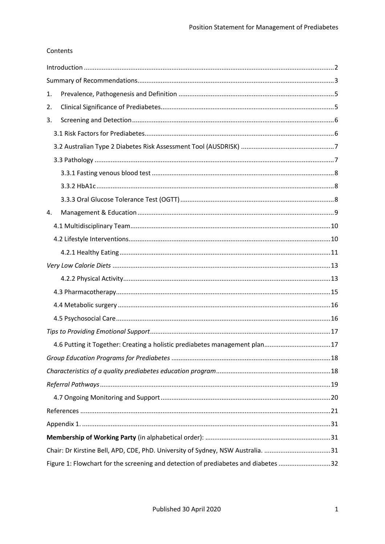## Contents

| 1.                                                                              |                                                                                    |  |
|---------------------------------------------------------------------------------|------------------------------------------------------------------------------------|--|
| 2.                                                                              |                                                                                    |  |
| 3.                                                                              |                                                                                    |  |
|                                                                                 |                                                                                    |  |
|                                                                                 |                                                                                    |  |
|                                                                                 |                                                                                    |  |
|                                                                                 |                                                                                    |  |
|                                                                                 |                                                                                    |  |
|                                                                                 |                                                                                    |  |
| 4.                                                                              |                                                                                    |  |
|                                                                                 |                                                                                    |  |
|                                                                                 |                                                                                    |  |
|                                                                                 |                                                                                    |  |
|                                                                                 |                                                                                    |  |
|                                                                                 |                                                                                    |  |
|                                                                                 |                                                                                    |  |
|                                                                                 |                                                                                    |  |
|                                                                                 |                                                                                    |  |
|                                                                                 |                                                                                    |  |
|                                                                                 | 4.6 Putting it Together: Creating a holistic prediabetes management plan17         |  |
|                                                                                 |                                                                                    |  |
|                                                                                 |                                                                                    |  |
|                                                                                 |                                                                                    |  |
|                                                                                 |                                                                                    |  |
|                                                                                 |                                                                                    |  |
|                                                                                 |                                                                                    |  |
|                                                                                 |                                                                                    |  |
| Chair: Dr Kirstine Bell, APD, CDE, PhD. University of Sydney, NSW Australia. 31 |                                                                                    |  |
|                                                                                 | Figure 1: Flowchart for the screening and detection of prediabetes and diabetes 32 |  |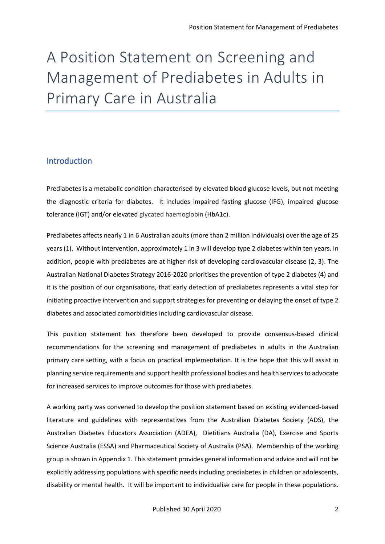# A Position Statement on Screening and Management of Prediabetes in Adults in Primary Care in Australia

# <span id="page-2-0"></span>Introduction

Prediabetes is a metabolic condition characterised by elevated blood glucose levels, but not meeting the diagnostic criteria for diabetes. It includes impaired fasting glucose (IFG), impaired glucose tolerance (IGT) and/or elevated glycated haemoglobin (HbA1c).

Prediabetes affects nearly 1 in 6 Australian adults (more than 2 million individuals) over the age of 25 years (1). Without intervention, approximately 1 in 3 will develop type 2 diabetes within ten years. In addition, people with prediabetes are at higher risk of developing cardiovascular disease (2, 3). The Australian National Diabetes Strategy 2016-2020 prioritises the prevention of type 2 diabetes (4) and it is the position of our organisations, that early detection of prediabetes represents a vital step for initiating proactive intervention and support strategies for preventing or delaying the onset of type 2 diabetes and associated comorbidities including cardiovascular disease.

This position statement has therefore been developed to provide consensus-based clinical recommendations for the screening and management of prediabetes in adults in the Australian primary care setting, with a focus on practical implementation. It is the hope that this will assist in planning service requirements and support health professional bodies and health services to advocate for increased services to improve outcomes for those with prediabetes.

A working party was convened to develop the position statement based on existing evidenced-based literature and guidelines with representatives from the Australian Diabetes Society (ADS), the Australian Diabetes Educators Association (ADEA), Dietitians Australia (DA), Exercise and Sports Science Australia (ESSA) and Pharmaceutical Society of Australia (PSA). Membership of the working group is shown in Appendix 1. This statement provides general information and advice and will not be explicitly addressing populations with specific needs including prediabetes in children or adolescents, disability or mental health. It will be important to individualise care for people in these populations.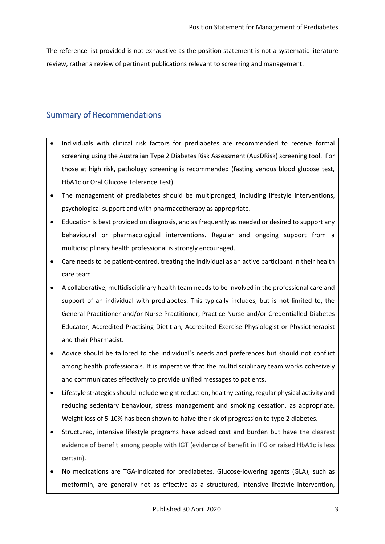The reference list provided is not exhaustive as the position statement is not a systematic literature review, rather a review of pertinent publications relevant to screening and management.

# <span id="page-3-0"></span>Summary of Recommendations

- Individuals with clinical risk factors for prediabetes are recommended to receive formal screening using the Australian Type 2 Diabetes Risk Assessment (AusDRisk) screening tool. For those at high risk, pathology screening is recommended (fasting venous blood glucose test, HbA1c or Oral Glucose Tolerance Test).
- The management of prediabetes should be multipronged, including lifestyle interventions, psychological support and with pharmacotherapy as appropriate.
- Education is best provided on diagnosis, and as frequently as needed or desired to support any behavioural or pharmacological interventions. Regular and ongoing support from a multidisciplinary health professional is strongly encouraged.
- Care needs to be patient-centred, treating the individual as an active participant in their health care team.
- A collaborative, multidisciplinary health team needs to be involved in the professional care and support of an individual with prediabetes. This typically includes, but is not limited to, the General Practitioner and/or Nurse Practitioner, Practice Nurse and/or Credentialled Diabetes Educator, Accredited Practising Dietitian, Accredited Exercise Physiologist or Physiotherapist and their Pharmacist.
- Advice should be tailored to the individual's needs and preferences but should not conflict among health professionals. It is imperative that the multidisciplinary team works cohesively and communicates effectively to provide unified messages to patients.
- Lifestyle strategies should include weight reduction, healthy eating, regular physical activity and reducing sedentary behaviour, stress management and smoking cessation, as appropriate. Weight loss of 5-10% has been shown to halve the risk of progression to type 2 diabetes.
- Structured, intensive lifestyle programs have added cost and burden but have the clearest evidence of benefit among people with IGT (evidence of benefit in IFG or raised HbA1c is less certain).
- No medications are TGA-indicated for prediabetes. Glucose-lowering agents (GLA), such as metformin, are generally not as effective as a structured, intensive lifestyle intervention,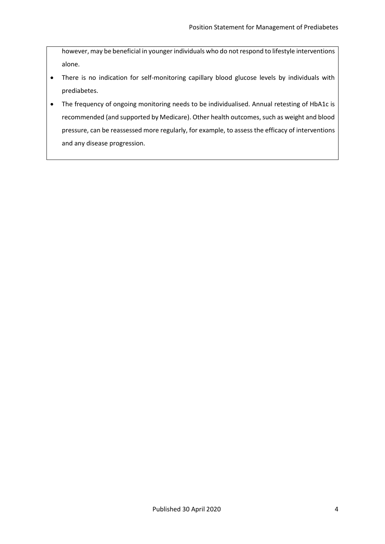however, may be beneficial in younger individuals who do not respond to lifestyle interventions alone.

- There is no indication for self-monitoring capillary blood glucose levels by individuals with prediabetes.
- The frequency of ongoing monitoring needs to be individualised. Annual retesting of HbA1c is recommended (and supported by Medicare). Other health outcomes, such as weight and blood pressure, can be reassessed more regularly, for example, to assess the efficacy of interventions and any disease progression.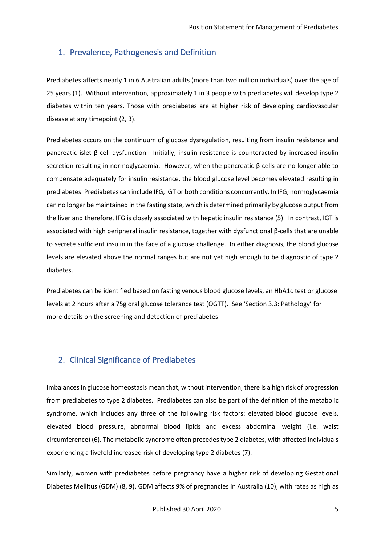# <span id="page-5-0"></span>1. Prevalence, Pathogenesis and Definition

Prediabetes affects nearly 1 in 6 Australian adults (more than two million individuals) over the age of 25 years (1). Without intervention, approximately 1 in 3 people with prediabetes will develop type 2 diabetes within ten years. Those with prediabetes are at higher risk of developing cardiovascular disease at any timepoint (2, 3).

Prediabetes occurs on the continuum of glucose dysregulation, resulting from insulin resistance and pancreatic islet β-cell dysfunction. Initially, insulin resistance is counteracted by increased insulin secretion resulting in normoglycaemia. However, when the pancreatic β-cells are no longer able to compensate adequately for insulin resistance, the blood glucose level becomes elevated resulting in prediabetes. Prediabetes can include IFG, IGT or both conditions concurrently. In IFG, normoglycaemia can no longer be maintained in the fasting state, which is determined primarily by glucose output from the liver and therefore, IFG is closely associated with hepatic insulin resistance (5). In contrast, IGT is associated with high peripheral insulin resistance, together with dysfunctional β-cells that are unable to secrete sufficient insulin in the face of a glucose challenge. In either diagnosis, the blood glucose levels are elevated above the normal ranges but are not yet high enough to be diagnostic of type 2 diabetes.

Prediabetes can be identified based on fasting venous blood glucose levels, an HbA1c test or glucose levels at 2 hours after a 75g oral glucose tolerance test (OGTT). See 'Section 3.3: Pathology' for more details on the screening and detection of prediabetes.

# <span id="page-5-1"></span>2. Clinical Significance of Prediabetes

Imbalances in glucose homeostasis mean that, without intervention, there is a high risk of progression from prediabetes to type 2 diabetes. Prediabetes can also be part of the definition of the metabolic syndrome, which includes any three of the following risk factors: elevated blood glucose levels, elevated blood pressure, abnormal blood lipids and excess abdominal weight (i.e. waist circumference) (6). The metabolic syndrome often precedes type 2 diabetes, with affected individuals experiencing a fivefold increased risk of developing type 2 diabetes (7).

Similarly, women with prediabetes before pregnancy have a higher risk of developing Gestational Diabetes Mellitus (GDM) (8, 9). GDM affects 9% of pregnancies in Australia (10), with rates as high as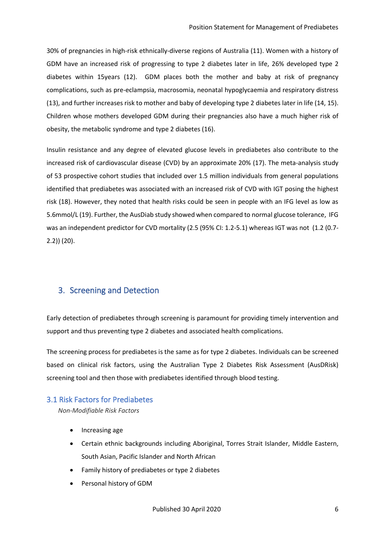30% of pregnancies in high-risk ethnically-diverse regions of Australia (11). Women with a history of GDM have an increased risk of progressing to type 2 diabetes later in life, 26% developed type 2 diabetes within 15years (12). GDM places both the mother and baby at risk of pregnancy complications, such as pre-eclampsia, macrosomia, neonatal hypoglycaemia and respiratory distress (13), and further increases risk to mother and baby of developing type 2 diabetes later in life (14, 15). Children whose mothers developed GDM during their pregnancies also have a much higher risk of obesity, the metabolic syndrome and type 2 diabetes (16).

Insulin resistance and any degree of elevated glucose levels in prediabetes also contribute to the increased risk of cardiovascular disease (CVD) by an approximate 20% (17). The meta-analysis study of 53 prospective cohort studies that included over 1.5 million individuals from general populations identified that prediabetes was associated with an increased risk of CVD with IGT posing the highest risk (18). However, they noted that health risks could be seen in people with an IFG level as low as 5.6mmol/L (19). Further, the AusDiab study showed when compared to normal glucose tolerance, IFG was an independent predictor for CVD mortality (2.5 (95% CI: 1.2-5.1) whereas IGT was not (1.2 (0.7- 2.2)) (20).

# <span id="page-6-0"></span>3. Screening and Detection

Early detection of prediabetes through screening is paramount for providing timely intervention and support and thus preventing type 2 diabetes and associated health complications.

The screening process for prediabetes is the same as for type 2 diabetes. Individuals can be screened based on clinical risk factors, using the Australian Type 2 Diabetes Risk Assessment (AusDRisk) screening tool and then those with prediabetes identified through blood testing.

## <span id="page-6-1"></span>3.1 Risk Factors for Prediabetes

*Non-Modifiable Risk Factors*

- Increasing age
- Certain ethnic backgrounds including Aboriginal, Torres Strait Islander, Middle Eastern, South Asian, Pacific Islander and North African
- Family history of prediabetes or type 2 diabetes
- Personal history of GDM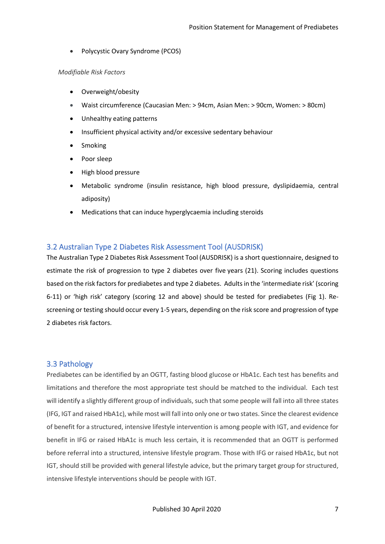• Polycystic Ovary Syndrome (PCOS)

#### *Modifiable Risk Factors*

- Overweight/obesity
- Waist circumference (Caucasian Men: > 94cm, Asian Men: > 90cm, Women: > 80cm)
- Unhealthy eating patterns
- Insufficient physical activity and/or excessive sedentary behaviour
- **Smoking**
- Poor sleep
- High blood pressure
- Metabolic syndrome (insulin resistance, high blood pressure, dyslipidaemia, central adiposity)
- Medications that can induce hyperglycaemia including steroids

## <span id="page-7-0"></span>3.2 Australian Type 2 Diabetes Risk Assessment Tool (AUSDRISK)

The Australian Type 2 Diabetes Risk Assessment Tool (AUSDRISK) is a short questionnaire, designed to estimate the risk of progression to type 2 diabetes over five years (21). Scoring includes questions based on the risk factors for prediabetes and type 2 diabetes. Adults in the 'intermediate risk' (scoring 6-11) or 'high risk' category (scoring 12 and above) should be tested for prediabetes (Fig 1). Rescreening or testing should occur every 1-5 years, depending on the risk score and progression of type 2 diabetes risk factors.

## <span id="page-7-1"></span>3.3 Pathology

Prediabetes can be identified by an OGTT, fasting blood glucose or HbA1c. Each test has benefits and limitations and therefore the most appropriate test should be matched to the individual. Each test will identify a slightly different group of individuals, such that some people will fall into all three states (IFG, IGT and raised HbA1c), while most will fall into only one or two states. Since the clearest evidence of benefit for a structured, intensive lifestyle intervention is among people with IGT, and evidence for benefit in IFG or raised HbA1c is much less certain, it is recommended that an OGTT is performed before referral into a structured, intensive lifestyle program. Those with IFG or raised HbA1c, but not IGT, should still be provided with general lifestyle advice, but the primary target group for structured, intensive lifestyle interventions should be people with IGT.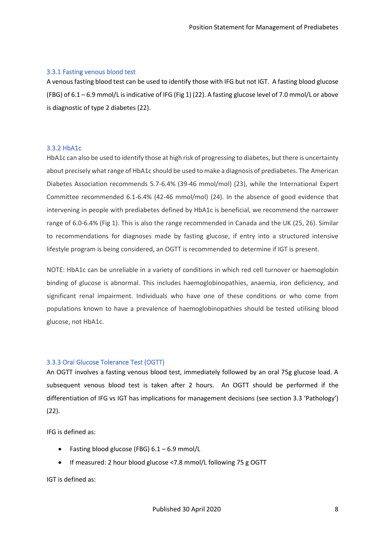#### <span id="page-8-0"></span>3.3.1 Fasting venous blood test

A venous fasting blood test can be used to identify those with IFG but not IGT. A fasting blood glucose (FBG) of 6.1 – 6.9 mmol/L is indicative of IFG (Fig 1) (22). A fasting glucose level of 7.0 mmol/L or above is diagnostic of type 2 diabetes (22).

#### <span id="page-8-1"></span>3.3.2 HbA1c

HbA1c can also be used to identify those at high risk of progressing to diabetes, but there is uncertainty about precisely what range of HbA1c should be used to make a diagnosis of prediabetes. The American Diabetes Association recommends 5.7-6.4% (39-46 mmol/mol) (23), while the International Expert Committee recommended 6.1-6.4% (42-46 mmol/mol) (24). In the absence of good evidence that intervening in people with prediabetes defined by HbA1c is beneficial, we recommend the narrower range of 6.0-6.4% (Fig 1). This is also the range recommended in Canada and the UK (25, 26). Similar to recommendations for diagnoses made by fasting glucose, if entry into a structured intensive lifestyle program is being considered, an OGTT is recommended to determine if IGT is present.

NOTE: HbA1c can be unreliable in a variety of conditions in which red cell turnover or haemoglobin binding of glucose is abnormal. This includes haemoglobinopathies, anaemia, iron deficiency, and significant renal impairment. Individuals who have one of these conditions or who come from populations known to have a prevalence of haemoglobinopathies should be tested utilising blood glucose, not HbA1c.

## <span id="page-8-2"></span>3.3.3 Oral Glucose Tolerance Test (OGTT)

An OGTT involves a fasting venous blood test, immediately followed by an oral 75g glucose load. A subsequent venous blood test is taken after 2 hours. An OGTT should be performed if the differentiation of IFG vs IGT has implications for management decisions (see section 3.3 'Pathology') (22).

IFG is defined as:

- Fasting blood glucose (FBG)  $6.1 6.9$  mmol/L
- If measured: 2 hour blood glucose <7.8 mmol/L following 75 g OGTT

IGT is defined as: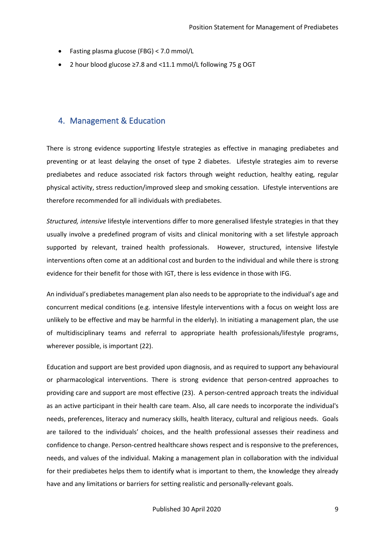- Fasting plasma glucose (FBG) < 7.0 mmol/L
- 2 hour blood glucose ≥7.8 and <11.1 mmol/L following 75 g OGT

# <span id="page-9-0"></span>4. Management & Education

There is strong evidence supporting lifestyle strategies as effective in managing prediabetes and preventing or at least delaying the onset of type 2 diabetes. Lifestyle strategies aim to reverse prediabetes and reduce associated risk factors through weight reduction, healthy eating, regular physical activity, stress reduction/improved sleep and smoking cessation. Lifestyle interventions are therefore recommended for all individuals with prediabetes.

*Structured, intensive* lifestyle interventions differ to more generalised lifestyle strategies in that they usually involve a predefined program of visits and clinical monitoring with a set lifestyle approach supported by relevant, trained health professionals. However, structured, intensive lifestyle interventions often come at an additional cost and burden to the individual and while there is strong evidence for their benefit for those with IGT, there is less evidence in those with IFG.

An individual's prediabetes management plan also needs to be appropriate to the individual's age and concurrent medical conditions (e.g. intensive lifestyle interventions with a focus on weight loss are unlikely to be effective and may be harmful in the elderly). In initiating a management plan, the use of multidisciplinary teams and referral to appropriate health professionals/lifestyle programs, wherever possible, is important (22).

Education and support are best provided upon diagnosis, and as required to support any behavioural or pharmacological interventions. There is strong evidence that person-centred approaches to providing care and support are most effective (23). A person-centred approach treats the individual as an active participant in their health care team. Also, all care needs to incorporate the individual's needs, preferences, literacy and numeracy skills, health literacy, cultural and religious needs. Goals are tailored to the individuals' choices, and the health professional assesses their readiness and confidence to change. Person-centred healthcare shows respect and is responsive to the preferences, needs, and values of the individual. Making a management plan in collaboration with the individual for their prediabetes helps them to identify what is important to them, the knowledge they already have and any limitations or barriers for setting realistic and personally-relevant goals.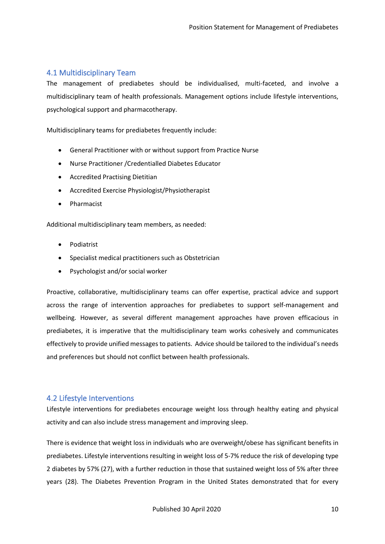## <span id="page-10-0"></span>4.1 Multidisciplinary Team

The management of prediabetes should be individualised, multi-faceted, and involve a multidisciplinary team of health professionals. Management options include lifestyle interventions, psychological support and pharmacotherapy.

Multidisciplinary teams for prediabetes frequently include:

- General Practitioner with or without support from Practice Nurse
- Nurse Practitioner /Credentialled Diabetes Educator
- Accredited Practising Dietitian
- Accredited Exercise Physiologist/Physiotherapist
- Pharmacist

Additional multidisciplinary team members, as needed:

- Podiatrist
- Specialist medical practitioners such as Obstetrician
- Psychologist and/or social worker

Proactive, collaborative, multidisciplinary teams can offer expertise, practical advice and support across the range of intervention approaches for prediabetes to support self-management and wellbeing. However, as several different management approaches have proven efficacious in prediabetes, it is imperative that the multidisciplinary team works cohesively and communicates effectively to provide unified messages to patients. Advice should be tailored to the individual's needs and preferences but should not conflict between health professionals.

## <span id="page-10-1"></span>4.2 Lifestyle Interventions

Lifestyle interventions for prediabetes encourage weight loss through healthy eating and physical activity and can also include stress management and improving sleep.

There is evidence that weight loss in individuals who are overweight/obese has significant benefits in prediabetes. Lifestyle interventions resulting in weight loss of 5-7% reduce the risk of developing type 2 diabetes by 57% (27), with a further reduction in those that sustained weight loss of 5% after three years (28). The Diabetes Prevention Program in the United States demonstrated that for every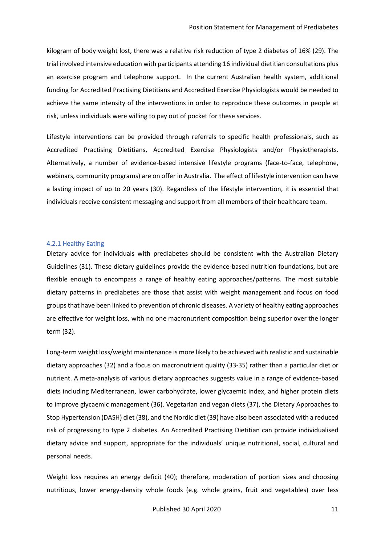kilogram of body weight lost, there was a relative risk reduction of type 2 diabetes of 16% (29). The trial involved intensive education with participants attending 16 individual dietitian consultations plus an exercise program and telephone support. In the current Australian health system, additional funding for Accredited Practising Dietitians and Accredited Exercise Physiologists would be needed to achieve the same intensity of the interventions in order to reproduce these outcomes in people at risk, unless individuals were willing to pay out of pocket for these services.

Lifestyle interventions can be provided through referrals to specific health professionals, such as Accredited Practising Dietitians, Accredited Exercise Physiologists and/or Physiotherapists. Alternatively, a number of evidence-based intensive lifestyle programs (face-to-face, telephone, webinars, community programs) are on offer in Australia. The effect of lifestyle intervention can have a lasting impact of up to 20 years (30). Regardless of the lifestyle intervention, it is essential that individuals receive consistent messaging and support from all members of their healthcare team.

#### <span id="page-11-0"></span>4.2.1 Healthy Eating

Dietary advice for individuals with prediabetes should be consistent with the Australian Dietary Guidelines (31). These dietary guidelines provide the evidence-based nutrition foundations, but are flexible enough to encompass a range of healthy eating approaches/patterns. The most suitable dietary patterns in prediabetes are those that assist with weight management and focus on food groups that have been linked to prevention of chronic diseases. A variety of healthy eating approaches are effective for weight loss, with no one macronutrient composition being superior over the longer term (32).

Long-term weight loss/weight maintenance is more likely to be achieved with realistic and sustainable dietary approaches (32) and a focus on macronutrient quality (33-35) rather than a particular diet or nutrient. A meta-analysis of various dietary approaches suggests value in a range of evidence-based diets including Mediterranean, lower carbohydrate, lower glycaemic index, and higher protein diets to improve glycaemic management (36). Vegetarian and vegan diets (37), the Dietary Approaches to Stop Hypertension (DASH) diet (38), and the Nordic diet (39) have also been associated with a reduced risk of progressing to type 2 diabetes. An Accredited Practising Dietitian can provide individualised dietary advice and support, appropriate for the individuals' unique nutritional, social, cultural and personal needs.

Weight loss requires an energy deficit (40); therefore, moderation of portion sizes and choosing nutritious, lower energy-density whole foods (e.g. whole grains, fruit and vegetables) over less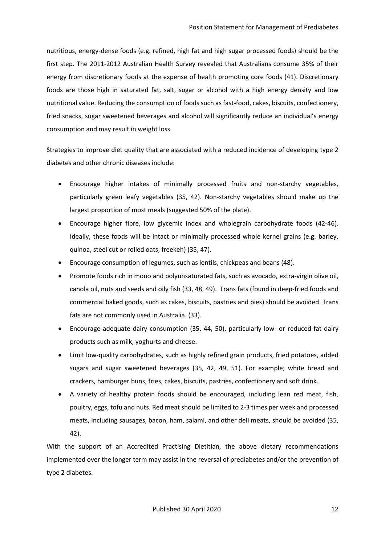nutritious, energy-dense foods (e.g. refined, high fat and high sugar processed foods) should be the first step. The 2011-2012 Australian Health Survey revealed that Australians consume 35% of their energy from discretionary foods at the expense of health promoting core foods (41). Discretionary foods are those high in saturated fat, salt, sugar or alcohol with a high energy density and low nutritional value. Reducing the consumption of foods such as fast-food, cakes, biscuits, confectionery, fried snacks, sugar sweetened beverages and alcohol will significantly reduce an individual's energy consumption and may result in weight loss.

Strategies to improve diet quality that are associated with a reduced incidence of developing type 2 diabetes and other chronic diseases include:

- Encourage higher intakes of minimally processed fruits and non-starchy vegetables, particularly green leafy vegetables (35, 42). Non-starchy vegetables should make up the largest proportion of most meals (suggested 50% of the plate).
- Encourage higher fibre, low glycemic index and wholegrain carbohydrate foods (42-46). Ideally, these foods will be intact or minimally processed whole kernel grains (e.g. barley, quinoa, steel cut or rolled oats, freekeh) (35, 47).
- Encourage consumption of legumes, such as lentils, chickpeas and beans (48).
- Promote foods rich in mono and polyunsaturated fats, such as avocado, extra-virgin olive oil, canola oil, nuts and seeds and oily fish (33, 48, 49). Trans fats (found in deep-fried foods and commercial baked goods, such as cakes, biscuits, pastries and pies) should be avoided. Trans fats are not commonly used in Australia. (33).
- Encourage adequate dairy consumption (35, 44, 50), particularly low- or reduced-fat dairy products such as milk, yoghurts and cheese.
- Limit low-quality carbohydrates, such as highly refined grain products, fried potatoes, added sugars and sugar sweetened beverages (35, 42, 49, 51). For example; white bread and crackers, hamburger buns, fries, cakes, biscuits, pastries, confectionery and soft drink.
- A variety of healthy protein foods should be encouraged, including lean red meat, fish, poultry, eggs, tofu and nuts. Red meat should be limited to 2-3 times per week and processed meats, including sausages, bacon, ham, salami, and other deli meats, should be avoided (35, 42).

With the support of an Accredited Practising Dietitian, the above dietary recommendations implemented over the longer term may assist in the reversal of prediabetes and/or the prevention of type 2 diabetes.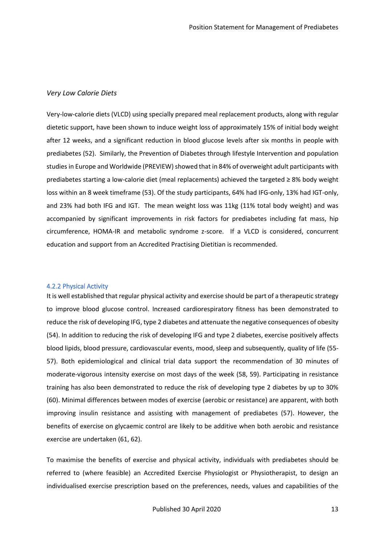#### <span id="page-13-0"></span>*Very Low Calorie Diets*

Very-low-calorie diets (VLCD) using specially prepared meal replacement products, along with regular dietetic support, have been shown to induce weight loss of approximately 15% of initial body weight after 12 weeks, and a significant reduction in blood glucose levels after six months in people with prediabetes (52). Similarly, the Prevention of Diabetes through lifestyle Intervention and population studies in Europe and Worldwide (PREVIEW) showed that in 84% of overweight adult participants with prediabetes starting a low-calorie diet (meal replacements) achieved the targeted ≥ 8% body weight loss within an 8 week timeframe (53). Of the study participants, 64% had IFG-only, 13% had IGT-only, and 23% had both IFG and IGT. The mean weight loss was 11kg (11% total body weight) and was accompanied by significant improvements in risk factors for prediabetes including fat mass, hip circumference, HOMA-IR and metabolic syndrome z-score. If a VLCD is considered, concurrent education and support from an Accredited Practising Dietitian is recommended.

#### <span id="page-13-1"></span>4.2.2 Physical Activity

It is well established that regular physical activity and exercise should be part of a therapeutic strategy to improve blood glucose control. Increased cardiorespiratory fitness has been demonstrated to reduce the risk of developing IFG, type 2 diabetes and attenuate the negative consequences of obesity (54). In addition to reducing the risk of developing IFG and type 2 diabetes, exercise positively affects blood lipids, blood pressure, cardiovascular events, mood, sleep and subsequently, quality of life (55- 57). Both epidemiological and clinical trial data support the recommendation of 30 minutes of moderate-vigorous intensity exercise on most days of the week (58, 59). Participating in resistance training has also been demonstrated to reduce the risk of developing type 2 diabetes by up to 30% (60). Minimal differences between modes of exercise (aerobic or resistance) are apparent, with both improving insulin resistance and assisting with management of prediabetes (57). However, the benefits of exercise on glycaemic control are likely to be additive when both aerobic and resistance exercise are undertaken (61, 62).

To maximise the benefits of exercise and physical activity, individuals with prediabetes should be referred to (where feasible) an Accredited Exercise Physiologist or Physiotherapist, to design an individualised exercise prescription based on the preferences, needs, values and capabilities of the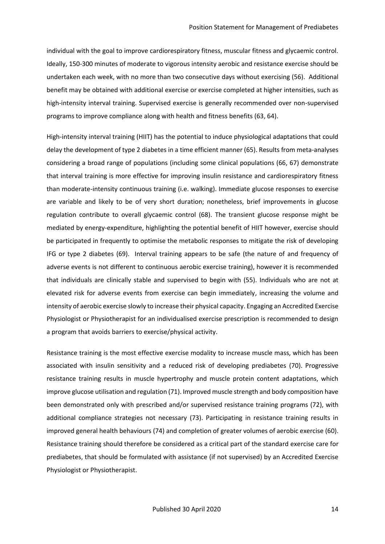individual with the goal to improve cardiorespiratory fitness, muscular fitness and glycaemic control. Ideally, 150-300 minutes of moderate to vigorous intensity aerobic and resistance exercise should be undertaken each week, with no more than two consecutive days without exercising (56). Additional benefit may be obtained with additional exercise or exercise completed at higher intensities, such as high-intensity interval training. Supervised exercise is generally recommended over non-supervised programs to improve compliance along with health and fitness benefits (63, 64).

High-intensity interval training (HIIT) has the potential to induce physiological adaptations that could delay the development of type 2 diabetes in a time efficient manner (65). Results from meta-analyses considering a broad range of populations (including some clinical populations (66, 67) demonstrate that interval training is more effective for improving insulin resistance and cardiorespiratory fitness than moderate-intensity continuous training (i.e. walking). Immediate glucose responses to exercise are variable and likely to be of very short duration; nonetheless, brief improvements in glucose regulation contribute to overall glycaemic control (68). The transient glucose response might be mediated by energy-expenditure, highlighting the potential benefit of HIIT however, exercise should be participated in frequently to optimise the metabolic responses to mitigate the risk of developing IFG or type 2 diabetes (69). Interval training appears to be safe (the nature of and frequency of adverse events is not different to continuous aerobic exercise training), however it is recommended that individuals are clinically stable and supervised to begin with (55). Individuals who are not at elevated risk for adverse events from exercise can begin immediately, increasing the volume and intensity of aerobic exercise slowly to increase their physical capacity. Engaging an Accredited Exercise Physiologist or Physiotherapist for an individualised exercise prescription is recommended to design a program that avoids barriers to exercise/physical activity.

Resistance training is the most effective exercise modality to increase muscle mass, which has been associated with insulin sensitivity and a reduced risk of developing prediabetes (70). Progressive resistance training results in muscle hypertrophy and muscle protein content adaptations, which improve glucose utilisation and regulation (71). Improved muscle strength and body composition have been demonstrated only with prescribed and/or supervised resistance training programs (72), with additional compliance strategies not necessary (73). Participating in resistance training results in improved general health behaviours (74) and completion of greater volumes of aerobic exercise (60). Resistance training should therefore be considered as a critical part of the standard exercise care for prediabetes, that should be formulated with assistance (if not supervised) by an Accredited Exercise Physiologist or Physiotherapist.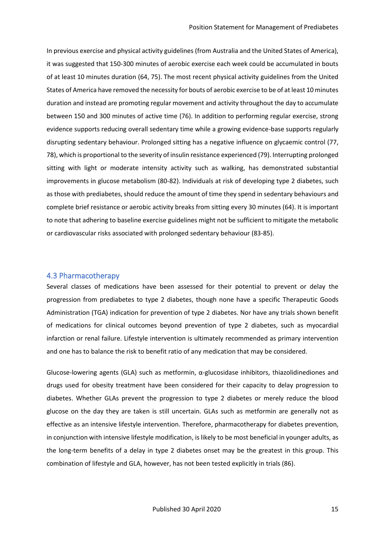In previous exercise and physical activity guidelines (from Australia and the United States of America), it was suggested that 150-300 minutes of aerobic exercise each week could be accumulated in bouts of at least 10 minutes duration (64, 75). The most recent physical activity guidelines from the United States of America have removed the necessity for bouts of aerobic exercise to be of at least 10 minutes duration and instead are promoting regular movement and activity throughout the day to accumulate between 150 and 300 minutes of active time (76). In addition to performing regular exercise, strong evidence supports reducing overall sedentary time while a growing evidence-base supports regularly disrupting sedentary behaviour. Prolonged sitting has a negative influence on glycaemic control (77, 78), which is proportional to the severity of insulin resistance experienced (79). Interrupting prolonged sitting with light or moderate intensity activity such as walking, has demonstrated substantial improvements in glucose metabolism (80-82). Individuals at risk of developing type 2 diabetes, such as those with prediabetes, should reduce the amount of time they spend in sedentary behaviours and complete brief resistance or aerobic activity breaks from sitting every 30 minutes (64). It is important to note that adhering to baseline exercise guidelines might not be sufficient to mitigate the metabolic or cardiovascular risks associated with prolonged sedentary behaviour (83-85).

#### <span id="page-15-0"></span>4.3 Pharmacotherapy

Several classes of medications have been assessed for their potential to prevent or delay the progression from prediabetes to type 2 diabetes, though none have a specific Therapeutic Goods Administration (TGA) indication for prevention of type 2 diabetes. Nor have any trials shown benefit of medications for clinical outcomes beyond prevention of type 2 diabetes, such as myocardial infarction or renal failure. Lifestyle intervention is ultimately recommended as primary intervention and one has to balance the risk to benefit ratio of any medication that may be considered.

Glucose-lowering agents (GLA) such as metformin,  $\alpha$ -glucosidase inhibitors, thiazolidinediones and drugs used for obesity treatment have been considered for their capacity to delay progression to diabetes. Whether GLAs prevent the progression to type 2 diabetes or merely reduce the blood glucose on the day they are taken is still uncertain. GLAs such as metformin are generally not as effective as an intensive lifestyle intervention. Therefore, pharmacotherapy for diabetes prevention, in conjunction with intensive lifestyle modification, is likely to be most beneficial in younger adults, as the long-term benefits of a delay in type 2 diabetes onset may be the greatest in this group. This combination of lifestyle and GLA, however, has not been tested explicitly in trials (86).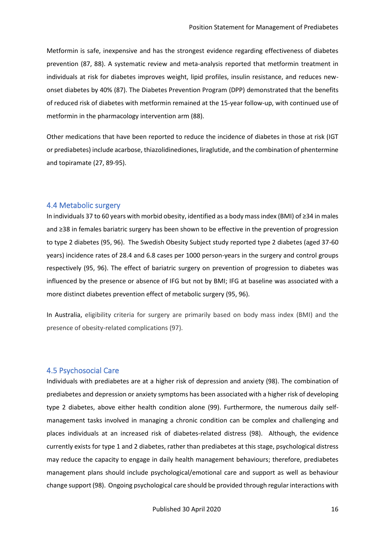Metformin is safe, inexpensive and has the strongest evidence regarding effectiveness of diabetes prevention (87, 88). A systematic review and meta-analysis reported that metformin treatment in individuals at risk for diabetes improves weight, lipid profiles, insulin resistance, and reduces newonset diabetes by 40% (87). The Diabetes Prevention Program (DPP) demonstrated that the benefits of reduced risk of diabetes with metformin remained at the 15-year follow-up, with continued use of metformin in the pharmacology intervention arm (88).

Other medications that have been reported to reduce the incidence of diabetes in those at risk (IGT or prediabetes) include acarbose, thiazolidinediones, liraglutide, and the combination of phentermine and topiramate (27, 89-95).

#### <span id="page-16-0"></span>4.4 Metabolic surgery

In individuals 37 to 60 years with morbid obesity, identified as a body mass index (BMI) of ≥34 in males and ≥38 in females bariatric surgery has been shown to be effective in the prevention of progression to type 2 diabetes (95, 96). The Swedish Obesity Subject study reported type 2 diabetes (aged 37-60 years) incidence rates of 28.4 and 6.8 cases per 1000 person-years in the surgery and control groups respectively (95, 96). The effect of bariatric surgery on prevention of progression to diabetes was influenced by the presence or absence of IFG but not by BMI; IFG at baseline was associated with a more distinct diabetes prevention effect of metabolic surgery (95, 96).

In Australia, eligibility criteria for surgery are primarily based on body mass index (BMI) and the presence of obesity-related complications (97).

#### <span id="page-16-1"></span>4.5 Psychosocial Care

Individuals with prediabetes are at a higher risk of depression and anxiety (98). The combination of prediabetes and depression or anxiety symptoms has been associated with a higher risk of developing type 2 diabetes, above either health condition alone (99). Furthermore, the numerous daily selfmanagement tasks involved in managing a chronic condition can be complex and challenging and places individuals at an increased risk of diabetes-related distress (98). Although, the evidence currently exists for type 1 and 2 diabetes, rather than prediabetes at this stage, psychological distress may reduce the capacity to engage in daily health management behaviours; therefore, prediabetes management plans should include psychological/emotional care and support as well as behaviour change support (98). Ongoing psychological care should be provided through regular interactions with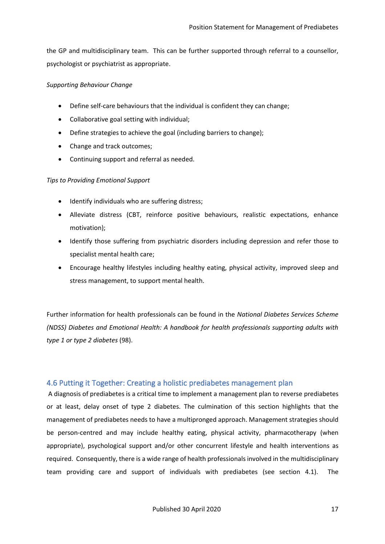the GP and multidisciplinary team. This can be further supported through referral to a counsellor, psychologist or psychiatrist as appropriate.

#### *Supporting Behaviour Change*

- Define self-care behaviours that the individual is confident they can change;
- Collaborative goal setting with individual;
- Define strategies to achieve the goal (including barriers to change);
- Change and track outcomes;
- Continuing support and referral as needed.

#### <span id="page-17-0"></span>*Tips to Providing Emotional Support*

- Identify individuals who are suffering distress;
- Alleviate distress (CBT, reinforce positive behaviours, realistic expectations, enhance motivation);
- Identify those suffering from psychiatric disorders including depression and refer those to specialist mental health care;
- Encourage healthy lifestyles including healthy eating, physical activity, improved sleep and stress management, to support mental health.

Further information for health professionals can be found in the *National Diabetes Services Scheme (NDSS) Diabetes and Emotional Health: A handbook for health professionals supporting adults with type 1 or type 2 diabetes* (98).

## <span id="page-17-1"></span>4.6 Putting it Together: Creating a holistic prediabetes management plan

A diagnosis of prediabetes is a critical time to implement a management plan to reverse prediabetes or at least, delay onset of type 2 diabetes. The culmination of this section highlights that the management of prediabetes needs to have a multipronged approach. Management strategies should be person-centred and may include healthy eating, physical activity, pharmacotherapy (when appropriate), psychological support and/or other concurrent lifestyle and health interventions as required. Consequently, there is a wide range of health professionals involved in the multidisciplinary team providing care and support of individuals with prediabetes (see section 4.1). The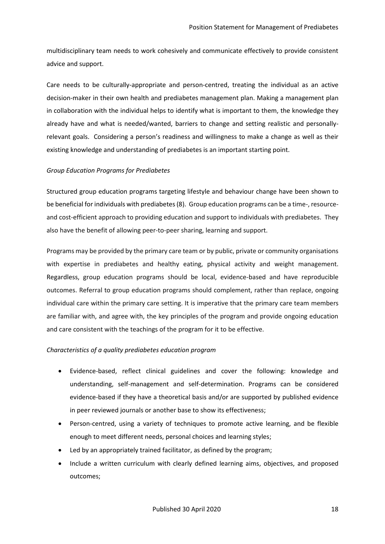multidisciplinary team needs to work cohesively and communicate effectively to provide consistent advice and support.

Care needs to be culturally-appropriate and person-centred, treating the individual as an active decision-maker in their own health and prediabetes management plan. Making a management plan in collaboration with the individual helps to identify what is important to them, the knowledge they already have and what is needed/wanted, barriers to change and setting realistic and personallyrelevant goals. Considering a person's readiness and willingness to make a change as well as their existing knowledge and understanding of prediabetes is an important starting point.

#### <span id="page-18-0"></span>*Group Education Programs for Prediabetes*

Structured group education programs targeting lifestyle and behaviour change have been shown to be beneficial for individuals with prediabetes (8). Group education programs can be a time-, resourceand cost-efficient approach to providing education and support to individuals with prediabetes. They also have the benefit of allowing peer-to-peer sharing, learning and support.

Programs may be provided by the primary care team or by public, private or community organisations with expertise in prediabetes and healthy eating, physical activity and weight management. Regardless, group education programs should be local, evidence-based and have reproducible outcomes. Referral to group education programs should complement, rather than replace, ongoing individual care within the primary care setting. It is imperative that the primary care team members are familiar with, and agree with, the key principles of the program and provide ongoing education and care consistent with the teachings of the program for it to be effective.

#### <span id="page-18-1"></span>*Characteristics of a quality prediabetes education program*

- Evidence-based, reflect clinical guidelines and cover the following: knowledge and understanding, self-management and self-determination. Programs can be considered evidence-based if they have a theoretical basis and/or are supported by published evidence in peer reviewed journals or another base to show its effectiveness;
- Person-centred, using a variety of techniques to promote active learning, and be flexible enough to meet different needs, personal choices and learning styles;
- Led by an appropriately trained facilitator, as defined by the program;
- Include a written curriculum with clearly defined learning aims, objectives, and proposed outcomes;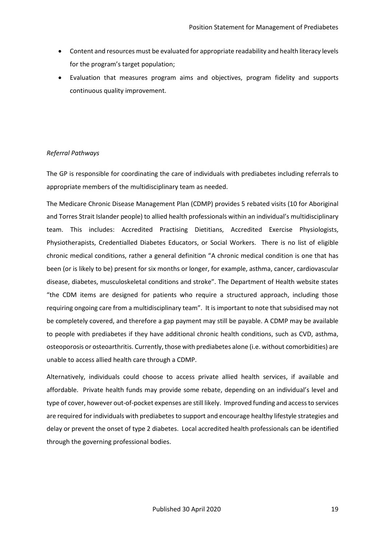- Content and resources must be evaluated for appropriate readability and health literacy levels for the program's target population;
- Evaluation that measures program aims and objectives, program fidelity and supports continuous quality improvement.

## <span id="page-19-0"></span>*Referral Pathways*

The GP is responsible for coordinating the care of individuals with prediabetes including referrals to appropriate members of the multidisciplinary team as needed.

The Medicare Chronic Disease Management Plan (CDMP) provides 5 rebated visits (10 for Aboriginal and Torres Strait Islander people) to allied health professionals within an individual's multidisciplinary team. This includes: Accredited Practising Dietitians, Accredited Exercise Physiologists, Physiotherapists, Credentialled Diabetes Educators, or Social Workers. There is no list of eligible chronic medical conditions, rather a general definition "A chronic medical condition is one that has been (or is likely to be) present for six months or longer, for example, asthma, cancer, cardiovascular disease, diabetes, musculoskeletal conditions and stroke". The Department of Health website states "the CDM items are designed for patients who require a structured approach, including those requiring ongoing care from a multidisciplinary team". It is important to note that subsidised may not be completely covered, and therefore a gap payment may still be payable. A CDMP may be available to people with prediabetes if they have additional chronic health conditions, such as CVD, asthma, osteoporosis or osteoarthritis. Currently, those with prediabetes alone (i.e. without comorbidities) are unable to access allied health care through a CDMP.

Alternatively, individuals could choose to access private allied health services, if available and affordable. Private health funds may provide some rebate, depending on an individual's level and type of cover, however out-of-pocket expenses are still likely. Improved funding and access to services are required for individuals with prediabetes to support and encourage healthy lifestyle strategies and delay or prevent the onset of type 2 diabetes. Local accredited health professionals can be identified through the governing professional bodies.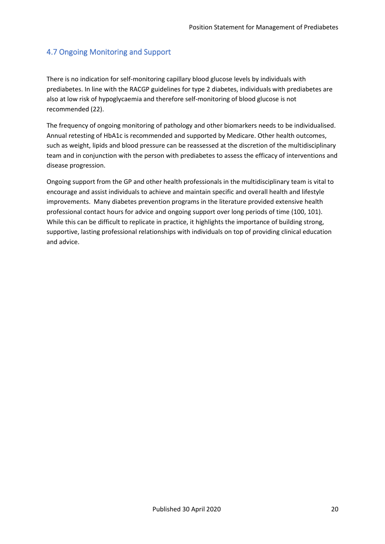# <span id="page-20-0"></span>4.7 Ongoing Monitoring and Support

There is no indication for self-monitoring capillary blood glucose levels by individuals with prediabetes. In line with the RACGP guidelines for type 2 diabetes, individuals with prediabetes are also at low risk of hypoglycaemia and therefore self-monitoring of blood glucose is not recommended (22).

The frequency of ongoing monitoring of pathology and other biomarkers needs to be individualised. Annual retesting of HbA1c is recommended and supported by Medicare. Other health outcomes, such as weight, lipids and blood pressure can be reassessed at the discretion of the multidisciplinary team and in conjunction with the person with prediabetes to assess the efficacy of interventions and disease progression.

Ongoing support from the GP and other health professionals in the multidisciplinary team is vital to encourage and assist individuals to achieve and maintain specific and overall health and lifestyle improvements. Many diabetes prevention programs in the literature provided extensive health professional contact hours for advice and ongoing support over long periods of time (100, 101). While this can be difficult to replicate in practice, it highlights the importance of building strong, supportive, lasting professional relationships with individuals on top of providing clinical education and advice.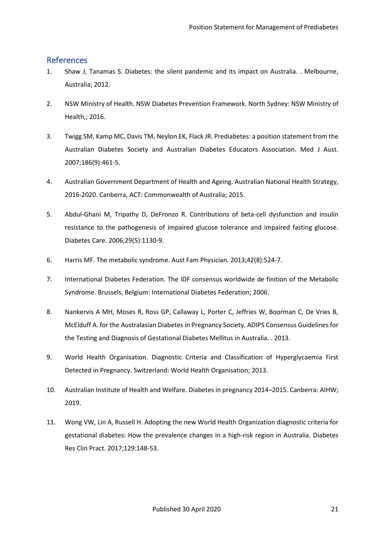## <span id="page-21-0"></span>References

- 1. Shaw J, Tanamas S. Diabetes: the silent pandemic and its impact on Australia. . Melbourne, Australia; 2012.
- 2. NSW Ministry of Health. NSW Diabetes Prevention Framework. North Sydney: NSW Ministry of Health,; 2016.
- 3. Twigg SM, Kamp MC, Davis TM, Neylon EK, Flack JR. Prediabetes: a position statement from the Australian Diabetes Society and Australian Diabetes Educators Association. Med J Aust. 2007;186(9):461-5.
- 4. Australian Government Department of Health and Ageing. Australian National Health Strategy, 2016-2020. Canberra, ACT: Commonwealth of Australia; 2015.
- 5. Abdul-Ghani M, Tripathy D, DeFronzo R. Contributions of beta-cell dysfunction and insulin resistance to the pathogenesis of impaired glucose tolerance and impaired fasting glucose. Diabetes Care. 2006;29(5):1130-9.
- 6. Harris MF. The metabolic syndrome. Aust Fam Physician. 2013;42(8):524-7.
- 7. International Diabetes Federation. The IDF consensus worldwide de finition of the Metabolic Syndrome. Brussels, Belgium: International Diabetes Federation; 2006.
- 8. Nankervis A MH, Moses R, Ross GP, Callaway L, Porter C, Jeffries W, Boorman C, De Vries B, McElduff A. for the Australasian Diabetes in Pregnancy Society. ADIPS Consensus Guidelines for the Testing and Diagnosis of Gestational Diabetes Mellitus in Australia. . 2013.
- 9. World Health Organisation. Diagnostic Criteria and Classification of Hyperglycaemia First Detected in Pregnancy. Switzerland: World Health Organisation; 2013.
- 10. Australian Institute of Health and Welfare. Diabetes in pregnancy 2014–2015. Canberra: AIHW; 2019.
- 11. Wong VW, Lin A, Russell H. Adopting the new World Health Organization diagnostic criteria for gestational diabetes: How the prevalence changes in a high-risk region in Australia. Diabetes Res Clin Pract. 2017;129:148-53.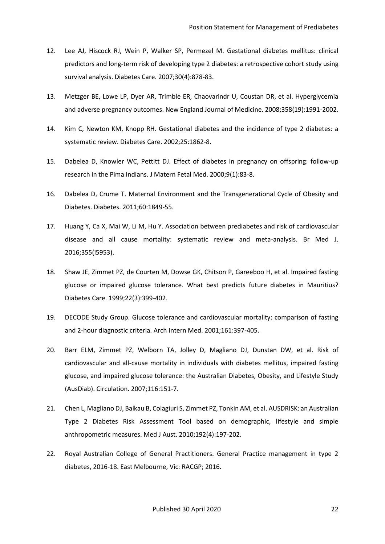- 12. Lee AJ, Hiscock RJ, Wein P, Walker SP, Permezel M. Gestational diabetes mellitus: clinical predictors and long-term risk of developing type 2 diabetes: a retrospective cohort study using survival analysis. Diabetes Care. 2007;30(4):878-83.
- 13. Metzger BE, Lowe LP, Dyer AR, Trimble ER, Chaovarindr U, Coustan DR, et al. Hyperglycemia and adverse pregnancy outcomes. New England Journal of Medicine. 2008;358(19):1991-2002.
- 14. Kim C, Newton KM, Knopp RH. Gestational diabetes and the incidence of type 2 diabetes: a systematic review. Diabetes Care. 2002;25:1862-8.
- 15. Dabelea D, Knowler WC, Pettitt DJ. Effect of diabetes in pregnancy on offspring: follow-up research in the Pima Indians. J Matern Fetal Med. 2000;9(1):83-8.
- 16. Dabelea D, Crume T. Maternal Environment and the Transgenerational Cycle of Obesity and Diabetes. Diabetes. 2011;60:1849-55.
- 17. Huang Y, Ca X, Mai W, Li M, Hu Y. Association between prediabetes and risk of cardiovascular disease and all cause mortality: systematic review and meta-analysis. Br Med J. 2016;355(i5953).
- 18. Shaw JE, Zimmet PZ, de Courten M, Dowse GK, Chitson P, Gareeboo H, et al. Impaired fasting glucose or impaired glucose tolerance. What best predicts future diabetes in Mauritius? Diabetes Care. 1999;22(3):399-402.
- 19. DECODE Study Group. Glucose tolerance and cardiovascular mortality: comparison of fasting and 2-hour diagnostic criteria. Arch Intern Med. 2001;161:397-405.
- 20. Barr ELM, Zimmet PZ, Welborn TA, Jolley D, Magliano DJ, Dunstan DW, et al. Risk of cardiovascular and all-cause mortality in individuals with diabetes mellitus, impaired fasting glucose, and impaired glucose tolerance: the Australian Diabetes, Obesity, and Lifestyle Study (AusDiab). Circulation. 2007;116:151-7.
- 21. Chen L, Magliano DJ, Balkau B, Colagiuri S, Zimmet PZ, Tonkin AM, et al. AUSDRISK: an Australian Type 2 Diabetes Risk Assessment Tool based on demographic, lifestyle and simple anthropometric measures. Med J Aust. 2010;192(4):197-202.
- 22. Royal Australian College of General Practitioners. General Practice management in type 2 diabetes, 2016-18. East Melbourne, Vic: RACGP; 2016.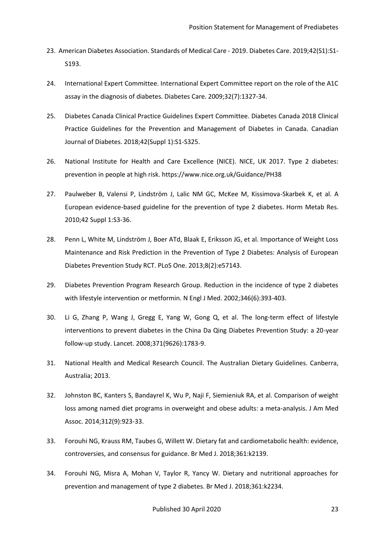- 23. American Diabetes Association. Standards of Medical Care 2019. Diabetes Care. 2019;42(S1):S1- S193.
- 24. International Expert Committee. International Expert Committee report on the role of the A1C assay in the diagnosis of diabetes. Diabetes Care. 2009;32(7):1327-34.
- 25. Diabetes Canada Clinical Practice Guidelines Expert Committee. Diabetes Canada 2018 Clinical Practice Guidelines for the Prevention and Management of Diabetes in Canada. Canadian Journal of Diabetes. 2018;42(Suppl 1):S1-S325.
- 26. National Institute for Health and Care Excellence (NICE). NICE, UK 2017. Type 2 diabetes: prevention in people at high risk. https://www.nice.org.uk/Guidance/PH38
- 27. Paulweber B, Valensi P, Lindström J, Lalic NM GC, McKee M, Kissimova-Skarbek K, et al. A European evidence-based guideline for the prevention of type 2 diabetes. Horm Metab Res. 2010;42 Suppl 1:S3-36.
- 28. Penn L, White M, Lindström J, Boer ATd, Blaak E, Eriksson JG, et al. Importance of Weight Loss Maintenance and Risk Prediction in the Prevention of Type 2 Diabetes: Analysis of European Diabetes Prevention Study RCT. PLoS One. 2013;8(2):e57143.
- 29. Diabetes Prevention Program Research Group. Reduction in the incidence of type 2 diabetes with lifestyle intervention or metformin. N Engl J Med. 2002;346(6):393-403.
- 30. Li G, Zhang P, Wang J, Gregg E, Yang W, Gong Q, et al. The long-term effect of lifestyle interventions to prevent diabetes in the China Da Qing Diabetes Prevention Study: a 20-year follow-up study. Lancet. 2008;371(9626):1783-9.
- 31. National Health and Medical Research Council. The Australian Dietary Guidelines. Canberra, Australia; 2013.
- 32. Johnston BC, Kanters S, Bandayrel K, Wu P, Naji F, Siemieniuk RA, et al. Comparison of weight loss among named diet programs in overweight and obese adults: a meta-analysis. J Am Med Assoc. 2014;312(9):923-33.
- 33. Forouhi NG, Krauss RM, Taubes G, Willett W. Dietary fat and cardiometabolic health: evidence, controversies, and consensus for guidance. Br Med J. 2018;361:k2139.
- 34. Forouhi NG, Misra A, Mohan V, Taylor R, Yancy W. Dietary and nutritional approaches for prevention and management of type 2 diabetes. Br Med J. 2018;361:k2234.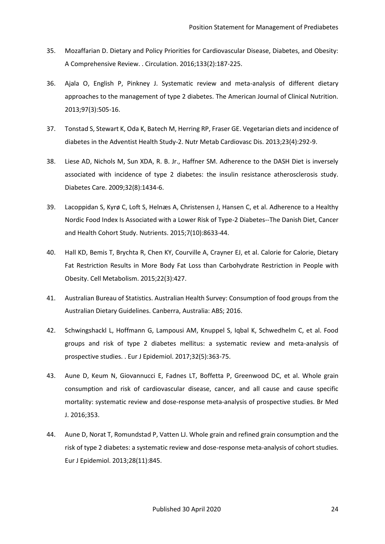- 35. Mozaffarian D. Dietary and Policy Priorities for Cardiovascular Disease, Diabetes, and Obesity: A Comprehensive Review. . Circulation. 2016;133(2):187-225.
- 36. Ajala O, English P, Pinkney J. Systematic review and meta-analysis of different dietary approaches to the management of type 2 diabetes. The American Journal of Clinical Nutrition. 2013;97(3):505-16.
- 37. Tonstad S, Stewart K, Oda K, Batech M, Herring RP, Fraser GE. Vegetarian diets and incidence of diabetes in the Adventist Health Study-2. Nutr Metab Cardiovasc Dis. 2013;23(4):292-9.
- 38. Liese AD, Nichols M, Sun XDA, R. B. Jr., Haffner SM. Adherence to the DASH Diet is inversely associated with incidence of type 2 diabetes: the insulin resistance atherosclerosis study. Diabetes Care. 2009;32(8):1434-6.
- 39. Lacoppidan S, Kyrø C, Loft S, Helnæs A, Christensen J, Hansen C, et al. Adherence to a Healthy Nordic Food Index Is Associated with a Lower Risk of Type-2 Diabetes--The Danish Diet, Cancer and Health Cohort Study. Nutrients. 2015;7(10):8633-44.
- 40. Hall KD, Bemis T, Brychta R, Chen KY, Courville A, Crayner EJ, et al. Calorie for Calorie, Dietary Fat Restriction Results in More Body Fat Loss than Carbohydrate Restriction in People with Obesity. Cell Metabolism. 2015;22(3):427.
- 41. Australian Bureau of Statistics. Australian Health Survey: Consumption of food groups from the Australian Dietary Guidelines. Canberra, Australia: ABS; 2016.
- 42. Schwingshackl L, Hoffmann G, Lampousi AM, Knuppel S, Iqbal K, Schwedhelm C, et al. Food groups and risk of type 2 diabetes mellitus: a systematic review and meta-analysis of prospective studies. . Eur J Epidemiol. 2017;32(5):363-75.
- 43. Aune D, Keum N, Giovannucci E, Fadnes LT, Boffetta P, Greenwood DC, et al. Whole grain consumption and risk of cardiovascular disease, cancer, and all cause and cause specific mortality: systematic review and dose-response meta-analysis of prospective studies. Br Med J. 2016;353.
- 44. Aune D, Norat T, Romundstad P, Vatten LJ. Whole grain and refined grain consumption and the risk of type 2 diabetes: a systematic review and dose-response meta-analysis of cohort studies. Eur J Epidemiol. 2013;28(11):845.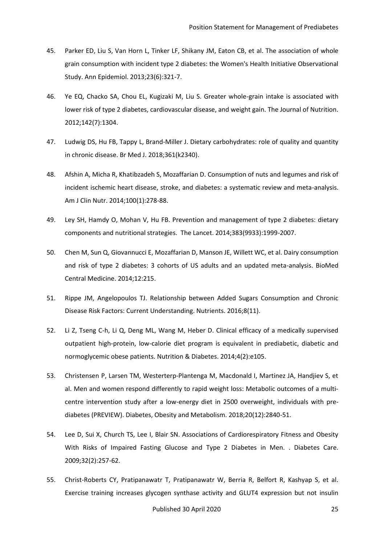- 45. Parker ED, Liu S, Van Horn L, Tinker LF, Shikany JM, Eaton CB, et al. The association of whole grain consumption with incident type 2 diabetes: the Women's Health Initiative Observational Study. Ann Epidemiol. 2013;23(6):321-7.
- 46. Ye EQ, Chacko SA, Chou EL, Kugizaki M, Liu S. Greater whole-grain intake is associated with lower risk of type 2 diabetes, cardiovascular disease, and weight gain. The Journal of Nutrition. 2012;142(7):1304.
- 47. Ludwig DS, Hu FB, Tappy L, Brand-Miller J. Dietary carbohydrates: role of quality and quantity in chronic disease. Br Med J. 2018;361(k2340).
- 48. Afshin A, Micha R, Khatibzadeh S, Mozaffarian D. Consumption of nuts and legumes and risk of incident ischemic heart disease, stroke, and diabetes: a systematic review and meta-analysis. Am J Clin Nutr. 2014;100(1):278-88.
- 49. Ley SH, Hamdy O, Mohan V, Hu FB. Prevention and management of type 2 diabetes: dietary components and nutritional strategies. The Lancet. 2014;383(9933):1999-2007.
- 50. Chen M, Sun Q, Giovannucci E, Mozaffarian D, Manson JE, Willett WC, et al. Dairy consumption and risk of type 2 diabetes: 3 cohorts of US adults and an updated meta-analysis. BioMed Central Medicine. 2014;12:215.
- 51. Rippe JM, Angelopoulos TJ. Relationship between Added Sugars Consumption and Chronic Disease Risk Factors: Current Understanding. Nutrients. 2016;8(11).
- 52. Li Z, Tseng C-h, Li Q, Deng ML, Wang M, Heber D. Clinical efficacy of a medically supervised outpatient high-protein, low-calorie diet program is equivalent in prediabetic, diabetic and normoglycemic obese patients. Nutrition & Diabetes. 2014;4(2):e105.
- 53. Christensen P, Larsen TM, Westerterp-Plantenga M, Macdonald I, Martinez JA, Handjiev S, et al. Men and women respond differently to rapid weight loss: Metabolic outcomes of a multi‐ centre intervention study after a low-energy diet in 2500 overweight, individuals with prediabetes (PREVIEW). Diabetes, Obesity and Metabolism. 2018;20(12):2840-51.
- 54. Lee D, Sui X, Church TS, Lee I, Blair SN. Associations of Cardiorespiratory Fitness and Obesity With Risks of Impaired Fasting Glucose and Type 2 Diabetes in Men. . Diabetes Care. 2009;32(2):257-62.
- 55. Christ-Roberts CY, Pratipanawatr T, Pratipanawatr W, Berria R, Belfort R, Kashyap S, et al. Exercise training increases glycogen synthase activity and GLUT4 expression but not insulin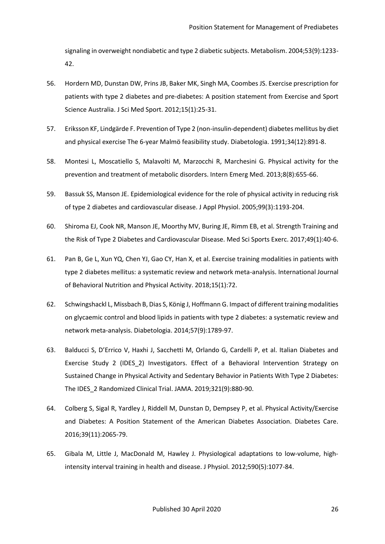signaling in overweight nondiabetic and type 2 diabetic subjects. Metabolism. 2004;53(9):1233- 42.

- 56. Hordern MD, Dunstan DW, Prins JB, Baker MK, Singh MA, Coombes JS. Exercise prescription for patients with type 2 diabetes and pre-diabetes: A position statement from Exercise and Sport Science Australia. J Sci Med Sport. 2012;15(1):25-31.
- 57. Eriksson KF, Lindgärde F. Prevention of Type 2 (non-insulin-dependent) diabetes mellitus by diet and physical exercise The 6-year Malmö feasibility study. Diabetologia. 1991;34(12):891-8.
- 58. Montesi L, Moscatiello S, Malavolti M, Marzocchi R, Marchesini G. Physical activity for the prevention and treatment of metabolic disorders. Intern Emerg Med. 2013;8(8):655-66.
- 59. Bassuk SS, Manson JE. Epidemiological evidence for the role of physical activity in reducing risk of type 2 diabetes and cardiovascular disease. J Appl Physiol. 2005;99(3):1193-204.
- 60. Shiroma EJ, Cook NR, Manson JE, Moorthy MV, Buring JE, Rimm EB, et al. Strength Training and the Risk of Type 2 Diabetes and Cardiovascular Disease. Med Sci Sports Exerc. 2017;49(1):40-6.
- 61. Pan B, Ge L, Xun YQ, Chen YJ, Gao CY, Han X, et al. Exercise training modalities in patients with type 2 diabetes mellitus: a systematic review and network meta-analysis. International Journal of Behavioral Nutrition and Physical Activity. 2018;15(1):72.
- 62. Schwingshackl L, Missbach B, Dias S, König J, Hoffmann G. Impact of different training modalities on glycaemic control and blood lipids in patients with type 2 diabetes: a systematic review and network meta-analysis. Diabetologia. 2014;57(9):1789-97.
- 63. Balducci S, D'Errico V, Haxhi J, Sacchetti M, Orlando G, Cardelli P, et al. Italian Diabetes and Exercise Study 2 (IDES\_2) Investigators. Effect of a Behavioral Intervention Strategy on Sustained Change in Physical Activity and Sedentary Behavior in Patients With Type 2 Diabetes: The IDES\_2 Randomized Clinical Trial. JAMA. 2019;321(9):880-90.
- 64. Colberg S, Sigal R, Yardley J, Riddell M, Dunstan D, Dempsey P, et al. Physical Activity/Exercise and Diabetes: A Position Statement of the American Diabetes Association. Diabetes Care. 2016;39(11):2065-79.
- 65. Gibala M, Little J, MacDonald M, Hawley J. Physiological adaptations to low‐volume, high‐ intensity interval training in health and disease. J Physiol. 2012;590(5):1077-84.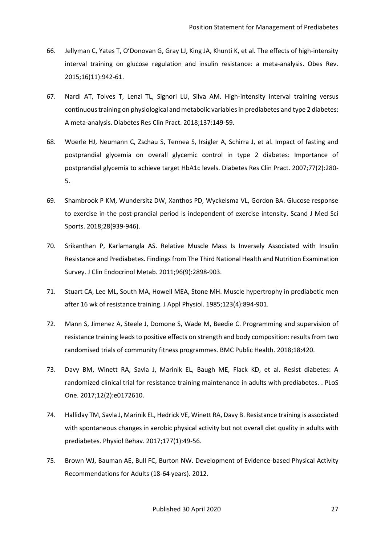- 66. Jellyman C, Yates T, O'Donovan G, Gray LJ, King JA, Khunti K, et al. The effects of high‐intensity interval training on glucose regulation and insulin resistance: a meta-analysis. Obes Rev. 2015;16(11):942-61.
- 67. Nardi AT, Tolves T, Lenzi TL, Signori LU, Silva AM. High-intensity interval training versus continuous training on physiological and metabolic variables in prediabetes and type 2 diabetes: A meta-analysis. Diabetes Res Clin Pract. 2018;137:149-59.
- 68. Woerle HJ, Neumann C, Zschau S, Tennea S, Irsigler A, Schirra J, et al. Impact of fasting and postprandial glycemia on overall glycemic control in type 2 diabetes: Importance of postprandial glycemia to achieve target HbA1c levels. Diabetes Res Clin Pract. 2007;77(2):280- 5.
- 69. Shambrook P KM, Wundersitz DW, Xanthos PD, Wyckelsma VL, Gordon BA. Glucose response to exercise in the post-prandial period is independent of exercise intensity. Scand J Med Sci Sports. 2018;28(939-946).
- 70. Srikanthan P, Karlamangla AS. Relative Muscle Mass Is Inversely Associated with Insulin Resistance and Prediabetes. Findings from The Third National Health and Nutrition Examination Survey. J Clin Endocrinol Metab. 2011;96(9):2898-903.
- 71. Stuart CA, Lee ML, South MA, Howell MEA, Stone MH. Muscle hypertrophy in prediabetic men after 16 wk of resistance training. J Appl Physiol. 1985;123(4):894-901.
- 72. Mann S, Jimenez A, Steele J, Domone S, Wade M, Beedie C. Programming and supervision of resistance training leads to positive effects on strength and body composition: results from two randomised trials of community fitness programmes. BMC Public Health. 2018;18:420.
- 73. Davy BM, Winett RA, Savla J, Marinik EL, Baugh ME, Flack KD, et al. Resist diabetes: A randomized clinical trial for resistance training maintenance in adults with prediabetes. . PLoS One. 2017;12(2):e0172610.
- 74. Halliday TM, Savla J, Marinik EL, Hedrick VE, Winett RA, Davy B. Resistance training is associated with spontaneous changes in aerobic physical activity but not overall diet quality in adults with prediabetes. Physiol Behav. 2017;177(1):49-56.
- 75. Brown WJ, Bauman AE, Bull FC, Burton NW. Development of Evidence-based Physical Activity Recommendations for Adults (18-64 years). 2012.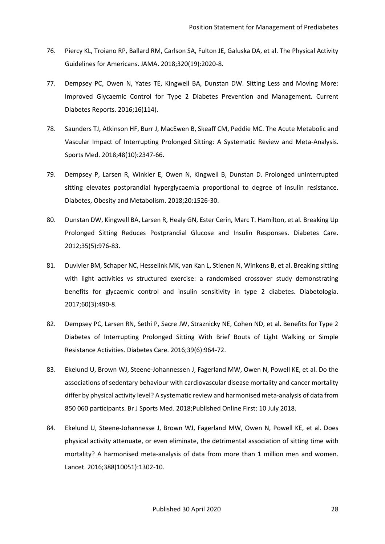- 76. Piercy KL, Troiano RP, Ballard RM, Carlson SA, Fulton JE, Galuska DA, et al. The Physical Activity Guidelines for Americans. JAMA. 2018;320(19):2020-8.
- 77. Dempsey PC, Owen N, Yates TE, Kingwell BA, Dunstan DW. Sitting Less and Moving More: Improved Glycaemic Control for Type 2 Diabetes Prevention and Management. Current Diabetes Reports. 2016;16(114).
- 78. Saunders TJ, Atkinson HF, Burr J, MacEwen B, Skeaff CM, Peddie MC. The Acute Metabolic and Vascular Impact of Interrupting Prolonged Sitting: A Systematic Review and Meta-Analysis. Sports Med. 2018;48(10):2347-66.
- 79. Dempsey P, Larsen R, Winkler E, Owen N, Kingwell B, Dunstan D. Prolonged uninterrupted sitting elevates postprandial hyperglycaemia proportional to degree of insulin resistance. Diabetes, Obesity and Metabolism. 2018;20:1526-30.
- 80. Dunstan DW, Kingwell BA, Larsen R, Healy GN, Ester Cerin, Marc T. Hamilton, et al. Breaking Up Prolonged Sitting Reduces Postprandial Glucose and Insulin Responses. Diabetes Care. 2012;35(5):976-83.
- 81. Duvivier BM, Schaper NC, Hesselink MK, van Kan L, Stienen N, Winkens B, et al. Breaking sitting with light activities vs structured exercise: a randomised crossover study demonstrating benefits for glycaemic control and insulin sensitivity in type 2 diabetes. Diabetologia. 2017;60(3):490-8.
- 82. Dempsey PC, Larsen RN, Sethi P, Sacre JW, Straznicky NE, Cohen ND, et al. Benefits for Type 2 Diabetes of Interrupting Prolonged Sitting With Brief Bouts of Light Walking or Simple Resistance Activities. Diabetes Care. 2016;39(6):964-72.
- 83. Ekelund U, Brown WJ, Steene-Johannessen J, Fagerland MW, Owen N, Powell KE, et al. Do the associations of sedentary behaviour with cardiovascular disease mortality and cancer mortality differ by physical activity level? A systematic review and harmonised meta-analysis of data from 850 060 participants. Br J Sports Med. 2018;Published Online First: 10 July 2018.
- 84. Ekelund U, Steene-Johannesse J, Brown WJ, Fagerland MW, Owen N, Powell KE, et al. Does physical activity attenuate, or even eliminate, the detrimental association of sitting time with mortality? A harmonised meta-analysis of data from more than 1 million men and women. Lancet. 2016;388(10051):1302-10.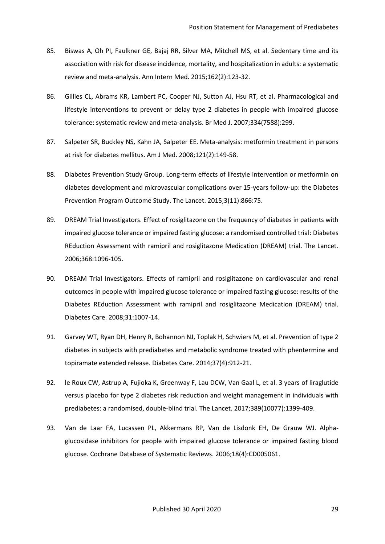- 85. Biswas A, Oh PI, Faulkner GE, Bajaj RR, Silver MA, Mitchell MS, et al. Sedentary time and its association with risk for disease incidence, mortality, and hospitalization in adults: a systematic review and meta-analysis. Ann Intern Med. 2015;162(2):123-32.
- 86. Gillies CL, Abrams KR, Lambert PC, Cooper NJ, Sutton AJ, Hsu RT, et al. Pharmacological and lifestyle interventions to prevent or delay type 2 diabetes in people with impaired glucose tolerance: systematic review and meta-analysis. Br Med J. 2007;334(7588):299.
- 87. Salpeter SR, Buckley NS, Kahn JA, Salpeter EE. Meta-analysis: metformin treatment in persons at risk for diabetes mellitus. Am J Med. 2008;121(2):149-58.
- 88. Diabetes Prevention Study Group. Long-term effects of lifestyle intervention or metformin on diabetes development and microvascular complications over 15-years follow-up: the Diabetes Prevention Program Outcome Study. The Lancet. 2015;3(11):866:75.
- 89. DREAM Trial Investigators. Effect of rosiglitazone on the frequency of diabetes in patients with impaired glucose tolerance or impaired fasting glucose: a randomised controlled trial: Diabetes REduction Assessment with ramipril and rosiglitazone Medication (DREAM) trial. The Lancet. 2006;368:1096-105.
- 90. DREAM Trial Investigators. Effects of ramipril and rosiglitazone on cardiovascular and renal outcomes in people with impaired glucose tolerance or impaired fasting glucose: results of the Diabetes REduction Assessment with ramipril and rosiglitazone Medication (DREAM) trial. Diabetes Care. 2008;31:1007-14.
- 91. Garvey WT, Ryan DH, Henry R, Bohannon NJ, Toplak H, Schwiers M, et al. Prevention of type 2 diabetes in subjects with prediabetes and metabolic syndrome treated with phentermine and topiramate extended release. Diabetes Care. 2014;37(4):912-21.
- 92. le Roux CW, Astrup A, Fujioka K, Greenway F, Lau DCW, Van Gaal L, et al. 3 years of liraglutide versus placebo for type 2 diabetes risk reduction and weight management in individuals with prediabetes: a randomised, double-blind trial. The Lancet. 2017;389(10077):1399-409.
- 93. Van de Laar FA, Lucassen PL, Akkermans RP, Van de Lisdonk EH, De Grauw WJ. Alphaglucosidase inhibitors for people with impaired glucose tolerance or impaired fasting blood glucose. Cochrane Database of Systematic Reviews. 2006;18(4):CD005061.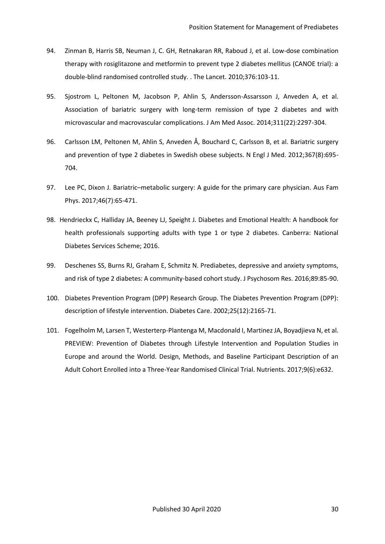- 94. Zinman B, Harris SB, Neuman J, C. GH, Retnakaran RR, Raboud J, et al. Low-dose combination therapy with rosiglitazone and metformin to prevent type 2 diabetes mellitus (CANOE trial): a double-blind randomised controlled study. . The Lancet. 2010;376:103-11.
- 95. Sjostrom L, Peltonen M, Jacobson P, Ahlin S, Andersson-Assarsson J, Anveden A, et al. Association of bariatric surgery with long-term remission of type 2 diabetes and with microvascular and macrovascular complications. J Am Med Assoc. 2014;311(22):2297-304.
- 96. Carlsson LM, Peltonen M, Ahlin S, Anveden Å, Bouchard C, Carlsson B, et al. Bariatric surgery and prevention of type 2 diabetes in Swedish obese subjects. N Engl J Med. 2012;367(8):695- 704.
- 97. Lee PC, Dixon J. Bariatric–metabolic surgery: A guide for the primary care physician. Aus Fam Phys. 2017;46(7):65-471.
- 98. Hendrieckx C, Halliday JA, Beeney LJ, Speight J. Diabetes and Emotional Health: A handbook for health professionals supporting adults with type 1 or type 2 diabetes. Canberra: National Diabetes Services Scheme; 2016.
- 99. Deschenes SS, Burns RJ, Graham E, Schmitz N. Prediabetes, depressive and anxiety symptoms, and risk of type 2 diabetes: A community-based cohort study. J Psychosom Res. 2016;89:85-90.
- 100. Diabetes Prevention Program (DPP) Research Group. The Diabetes Prevention Program (DPP): description of lifestyle intervention. Diabetes Care. 2002;25(12):2165-71.
- 101. Fogelholm M, Larsen T, Westerterp-Plantenga M, Macdonald I, Martinez JA, Boyadjieva N, et al. PREVIEW: Prevention of Diabetes through Lifestyle Intervention and Population Studies in Europe and around the World. Design, Methods, and Baseline Participant Description of an Adult Cohort Enrolled into a Three-Year Randomised Clinical Trial. Nutrients. 2017;9(6):e632.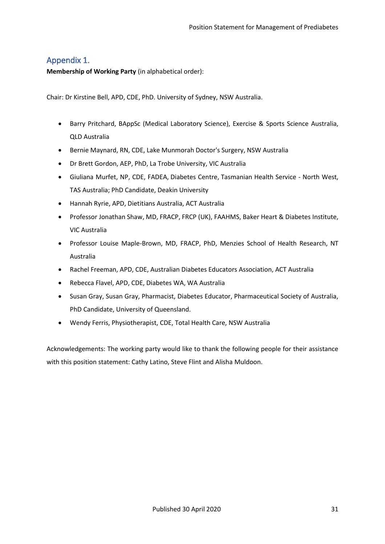# <span id="page-31-0"></span>Appendix 1.

<span id="page-31-1"></span>**Membership of Working Party** (in alphabetical order):

<span id="page-31-2"></span>Chair: Dr Kirstine Bell, APD, CDE, PhD. University of Sydney, NSW Australia.

- Barry Pritchard, BAppSc (Medical Laboratory Science), Exercise & Sports Science Australia, QLD Australia
- Bernie Maynard, RN, CDE, Lake Munmorah Doctor's Surgery, NSW Australia
- Dr Brett Gordon, AEP, PhD, La Trobe University, VIC Australia
- Giuliana Murfet, NP, CDE, FADEA, Diabetes Centre, Tasmanian Health Service North West, TAS Australia; PhD Candidate, Deakin University
- Hannah Ryrie, APD, Dietitians Australia, ACT Australia
- Professor Jonathan Shaw, MD, FRACP, FRCP (UK), FAAHMS, Baker Heart & Diabetes Institute, VIC Australia
- Professor Louise Maple-Brown, MD, FRACP, PhD, Menzies School of Health Research, NT Australia
- Rachel Freeman, APD, CDE, Australian Diabetes Educators Association, ACT Australia
- Rebecca Flavel, APD, CDE, Diabetes WA, WA Australia
- Susan Gray, Susan Gray, Pharmacist, Diabetes Educator, Pharmaceutical Society of Australia, PhD Candidate, University of Queensland.
- Wendy Ferris, Physiotherapist, CDE, Total Health Care, NSW Australia

Acknowledgements: The working party would like to thank the following people for their assistance with this position statement: Cathy Latino, Steve Flint and Alisha Muldoon.